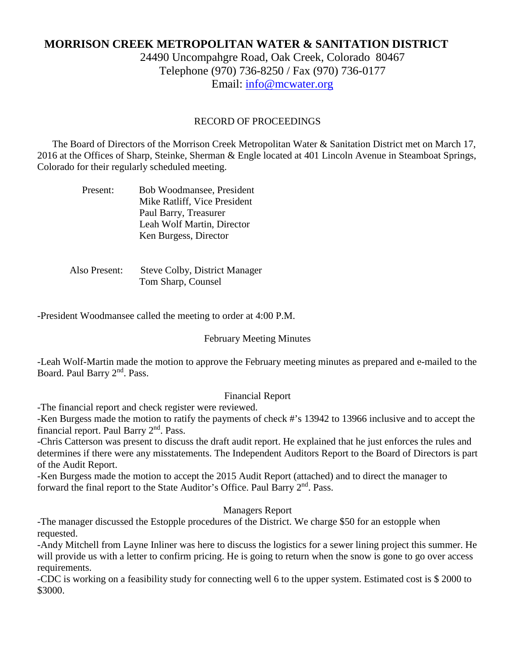# **MORRISON CREEK METROPOLITAN WATER & SANITATION DISTRICT**

24490 Uncompahgre Road, Oak Creek, Colorado 80467 Telephone (970) 736-8250 / Fax (970) 736-0177 Email: [info@mcwater.org](mailto:info@mcwater.org)

### RECORD OF PROCEEDINGS

 The Board of Directors of the Morrison Creek Metropolitan Water & Sanitation District met on March 17, 2016 at the Offices of Sharp, Steinke, Sherman & Engle located at 401 Lincoln Avenue in Steamboat Springs, Colorado for their regularly scheduled meeting.

| Present: | <b>Bob Woodmansee, President</b> |
|----------|----------------------------------|
|          | Mike Ratliff, Vice President     |
|          | Paul Barry, Treasurer            |
|          | Leah Wolf Martin, Director       |
|          | Ken Burgess, Director            |

 Also Present: Steve Colby, District Manager Tom Sharp, Counsel

-President Woodmansee called the meeting to order at 4:00 P.M.

#### February Meeting Minutes

-Leah Wolf-Martin made the motion to approve the February meeting minutes as prepared and e-mailed to the Board. Paul Barry 2<sup>nd</sup>. Pass.

#### Financial Report

-The financial report and check register were reviewed.

-Ken Burgess made the motion to ratify the payments of check #'s 13942 to 13966 inclusive and to accept the financial report. Paul Barry  $2<sup>nd</sup>$ . Pass.

-Chris Catterson was present to discuss the draft audit report. He explained that he just enforces the rules and determines if there were any misstatements. The Independent Auditors Report to the Board of Directors is part of the Audit Report.

-Ken Burgess made the motion to accept the 2015 Audit Report (attached) and to direct the manager to forward the final report to the State Auditor's Office. Paul Barry 2<sup>nd</sup>. Pass.

Managers Report

-The manager discussed the Estopple procedures of the District. We charge \$50 for an estopple when requested.

-Andy Mitchell from Layne Inliner was here to discuss the logistics for a sewer lining project this summer. He will provide us with a letter to confirm pricing. He is going to return when the snow is gone to go over access requirements.

-CDC is working on a feasibility study for connecting well 6 to the upper system. Estimated cost is \$ 2000 to \$3000.